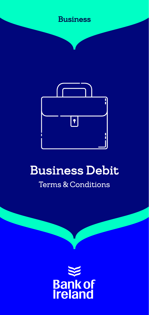



# Business Debit Terms & Conditions

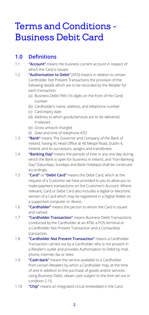## Terms and Conditions - Business Debit Card

### **1.0 Definitions**

- 1.1 **"Account"** means the business current account in respect of which the Card is issued.
- 1.2 **"Authorisation to Debit"** (ATD) means in relation to certain Cardholder Not Present Transactions the provision of the following details which are to be recorded by the Retailer for each transaction:
	- (a) Business Debit PAN (16 digits on the front of the Card) number
	- (b) Cardholder's name, address, and telephone number
	- (c) Card expiry date
	- (d) Address to which goods/services are to be delivered, if relevant
	- (e) Gross amount charged
	- (f) Date and time of telephone ATD
- 1.3 **"Bank"** means The Governor and Company of the Bank of Ireland, having its Head Office at 40 Mespil Road, Dublin 4, Ireland, and its successors, assigns and transferees.
- 1.4 **"Banking Day"** means the periods of time in any one day during which the Bank is open for business in Ireland, and "non-Banking Day" (Saturdays, Sundays and Bank Holidays) shall be construed accordingly.
- 1.5 **"Card"** or **"Debit Card"** means the Debit Card, which at the request of a Customer we have provided to you to allow you to make payment transactions on the Customer's Account. Where relevant, Card or Debit Card also includes a digital or electronic version of a Card which may be registered in a Digital Wallet on a supported computer or device.
- 1.6 **"Cardholder"** means the person to whom the Card is issued and named.
- 1.7 **"Cardholder Transaction"** means Business Debit Transactions conducted by the Cardholder at an ATM, a POS terminal or a Cardholder Not Present Transaction and a Contactless transaction.
- 1.8 **"Cardholder Not Present Transaction"** means a Cardholder Transaction carried out by a Cardholder who is not present in a Retailer's outlet and provides Authorisation to Debit by mail, phone, internet, fax or telex.
- 1.9 **"Cash-back"** means the service available to a Cardholder from certain Retailers by which a Cardholder may, at the time of and in addition to the purchase of goods and/or services using Business Debit, obtain cash subject to the limit set out in condition 2.10.
- 1.10 **"Chip"** means an integrated circuit embedded in the Card.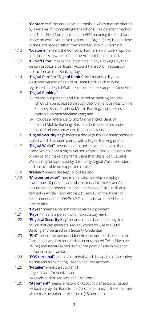- 1.11 **"Contactless"** means a payment method which may be offered by a Retailer for completing transactions. This payment method uses Near-Field Communications (NFC) meaning the Card (or a device on which you have registered a Digital Card) is held close to the Card reader rather than inserted into POS terminal.
- 1.12 **"Customer"** means the Company, Partnership or Sole Proprietor of a business in whose name the Account is maintained.
- 1.13 **"Cut-off time"** means the latest time in any Banking Day that we can process a particular Account transaction, request or instruction on that Banking Day.
- 1.14 **"Digital Card"** or **"Digital Debit Card"** means a digital or electronic version of a Card or Debit Card which may be registered in a Digital Wallet on a compatible computer or device.

#### 1.15 **"Digital Banking"**

- (a) means our present and future online banking services which can be accessed through 365 Online, Business Online Services, Bank of Ireland Mobile Banking, and services available on bankofireland.com; and
- (b) includes a reference to 365 Online and/or Bank of Ireland Mobile Banking, Business Online Services and/or bankofireland.com where that makes sense.
- 1.16 **"Digital Security Key"** means a device (such as a smartphone or tablet) which has been paired with a Digital Banking profile.
- 1.17 **"Digital Wallet"** means an electronic payment service that allows you to store a digital version of your Card on a computer or device and make payments using that Digital Card. Digital Wallets may be operated by third party Digital Wallet providers and are available on supported devices.
- 1.18 **"Ireland"** means the Republic of Ireland.
- 1.19 **"Microenterprise"** means an enterprise which employs fewer than 10 persons and whose annual turnover and/or annual balance sheet total does not exceed EUR 2 million as defined in Article 1 and Article 2 (1) and (3) of the Annex to Recommendation 2003/361/EC as may be amended from time to time.
- 1.20 **"Payee"** means a person who receives a payment.
- 1.21 **"Payer"** means a person who makes a payment.
- 1.22 **"Physical Security Key"** means a small hand held physical device that can generate security codes for use in Digital Banking and be used as a Security Credential.
- 1.23 **"PIN"** means the personal identification number issued to the Cardholder which is required at an Automated Teller Machine ("ATM") and generally required at the point of sale in order to authorise a transaction.
- 1.24 **"POS terminal"** means a terminal which is capable of accepting, storing and transmitting Cardholder Transactions.
- 1.25 **"Retailer"** means a supplier of (a) goods and/or services; or
	- (b) goods and/or services and Cash-back.
- 1.26 **"Statement"** means a record of Account transactions, issued periodically by the Bank to the Cardholder and/or the Customer which may be paper or electronic (eStatement).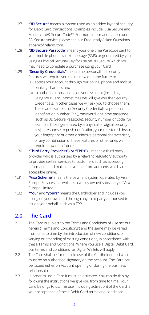- 1.27 **"3D Secure"** means a system used as an added layer of security for Debit Card transactions. Examples include, Visa Secure and Mastercard® SecureCode™. For more information about our 3D Secure service, please see our Frequently Asked Questions at bankofireland.com.
- 1.28 **"3D Secure Passcode"** means your one time Passcode sent to your mobile phone by text message (SMS) or generated by you using a Physical Security Key for use on 3D Secure which you may need to complete a purchase using your Card.
- 1.29 **"Security Credentials"** means the personalised security features we require you to use now or in the future to
	- (a) access your Account through our online, phone and mobile banking channels and
	- (b) to authorise transactions on your Account (including using your Card). Sometimes we will give you the Security Credentials; in other cases we will ask you to choose them. These are examples of Security Credentials: a personal identification number (PIN), password, one time passcode (such as 3D Secure Passcode), security number or code (for example, those generated by a physical or digital security key), a response to push notification, your registered device, your fingerprint or other distinctive personal characteristic, or any combination of these features or other ones we require now or in future.
- 1.30 **"Third Party Providers" (or "TPPs")** means a third party provider who is authorised by a relevant regulatory authority to provide certain services to customers such as accessing information and making payments from accounts which are accessible online.
- 1.31 **"Visa Scheme"** means the payment system operated by Visa Europe Services Inc. which is a wholly owned subsidiary of Visa Europe Limited.
- 1.32 **"You"** and **"yours"** means the Cardholder and includes you acting on your own and through any third party authorised to act on your behalf, such as a TPP.

#### **2.0 The Card**

- 2.1 The Card is subject to the Terms and Conditions of Use set out herein ("Terms and Conditions") and the same may be varied from time to time by the introduction of new conditions, or varying or amending of existing conditions, in accordance with these Terms and Conditions. Where you use a Digital Debit Card, our terms and conditions for Digital Wallets will apply.
- 2.2 The Card shall be for the sole use of the Cardholder and who must be an authorised signatory on the Account. The Card can be issued either on Account opening or during the business relationship.
- 2.3 In order to use a Card it must be activated. You can do this by following the instructions we give you from time to time. Your Card belongs to us. The use (including activation) of the Card is your acceptance of these Debit Card terms and conditions.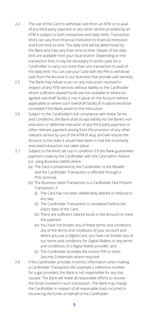- 2.4 The use of the Card to withdraw cash from an ATM or to avail of any third party payment or any other service provided by an ATM is subject to both transaction and daily limits. Transaction limits can vary from financial institution to financial institution and from time to time. The daily limit will be determined by the Bank and may vary from time to time. Details of the daily limit are available from your local branch. Depending on the transaction limit, it may be necessary in some cases for a Cardholder to carry out more than one transaction to avail of the daily limit. You can use your Card with the PIN to withdraw cash from the Account in our branches that provide cash services.
- 2.5 The Bank may refuse to act on any instruction received in respect of any ATM services without liability to the Cardholder where sufficient cleared funds are not available or where an agreed overdraft facility is not in place on the Account (where applicable) or where such overdraft facility (if in place) would be exceeded if the Bank acted on the instruction.
- 2.6 Subject to the Cardholder's full compliance with these Terms and Conditions, the Bank shall accept liability for the Bank's nonexecution or defective execution of any third party payment or other relevant payment arising from the provision of any other relevant service by use of the ATM (if any), and will restore the Account to the state it would have been in had the incorrectly executed transaction not taken place.
- 2.7 Subject to the limits set out in condition 2.0 the Bank guarantees payment made by the Cardholder with the Card within Ireland (i.e. using Business Debit) where:
	- (a) The Card is presented by the Cardholder to the Retailer and the Cardholder Transaction is effected through a POS terminal.
	- (b) The Business Debit Transaction is a Cardholder Not Present Transaction; if
		- (i) The Card has not been deliberately altered or defaced in any way.
		- (ii) The Cardholder Transaction is completed before the expiry date of the Card.
		- (iii) There are sufficient cleared funds in the Account to meet the payment.
		- (iv) You have not broken any of these terms and conditions, any of the terms and conditions of your Account and where you use a Digital Card, you have not broken any of our terms and conditions for Digital Wallets or any terms and conditions of a Digital Wallet provider; and
		- (v) The Cardholder provides the correct PIN or other Security Credentials where required.
- 2.8 If the Cardholder provides incorrect information when making a Cardholder Transaction (for example a reference number for a gas provider), the Bank is not responsible for any loss caused. The Bank will make all reasonable efforts to recover the funds involved in such transaction. The Bank may charge the Cardholder in respect of all reasonable costs incurred in recovering the funds on behalf of the Cardholder.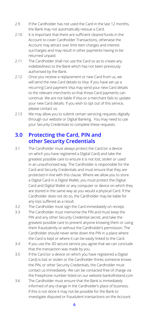- 2.9 If the Cardholder has not used the Card in the last 12 months. the Bank may not automatically reissue a Card.
- 2.10 It is important that there are sufficient cleared funds in the Account to cover Cardholder Transactions, otherwise the Account may attract over limit item charges and interest surcharges and may result in other payments having to be returned unpaid.
- 2.11 The Cardholder shall not use the Card so as to create any indebtedness to the Bank which has not been previously authorised by the Bank.
- 2.12 Once you receive a replacement or new Card from us, we will send the new Card details to Visa. If you have set up a recurring Card payment Visa may send your new Card details to the relevant merchants so that those Card payments can continue. We are not liable if Visa or a merchant fails to update your new Card details. If you wish to opt out of this service, please contact us.
- 2.13 We may allow you to submit certain servicing requests digitally through our website or Digital Banking. You may need to use your Security Credentials to complete these requests.

#### **3.0 Protecting the Card, PIN and other Security Credentials**

- 3.1 The Cardholder must always protect the Card (or a device on which you have registered a Digital Card) and take the greatest possible care to ensure it is not lost, stolen or used in an unauthorised way. The Cardholder is responsible for the Card and Security Credentials and must ensure that they are protected in line with this clause. Where we allow you to store a Digital Card in a Digital Wallet, you must protect the Digital Card and Digital Wallet or any computer or device on which they are stored in the same way as you would a physical Card. If the Cardholder does not do so, the Cardholder may be liable for any loss suffered as a result.
- 3.2 The Cardholder must sign the Card immediately on receipt.
- 3.3 The Cardholder must memorise the PIN and must keep the PIN and any other Security Credential secret, and take the greatest possible care to prevent anyone knowing them or using them fraudulently or without the Cardholder's permission. The Cardholder should never write down the PIN in a place where the Card is kept or where it can be easily linked to the Card.
- 3.4 If you use the 3D secure service you agree that we can conclude that the transaction was made by you.
- 3.5 If the Card (or a device on which you have registered a Digital Card) is lost or stolen or the Cardholder thinks someone knows the PIN, or other Security Credentials, the Cardholder must contact us immediately. We can be contacted free of charge via the Freephone number listed on our website bankofireland.com
- 3.6 The Cardholder must ensure that the Bank is immediately informed of any change in the Cardholder's place of business. If this is not done it may not be possible for the Bank to investigate disputed or fraudulent transactions on the Account.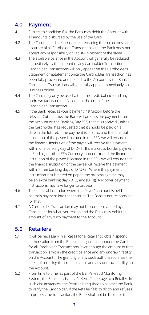## **4.0 Payment**

- 4.1 Subject to condition 6.0, the Bank may debit the Account with all amounts disbursed by the use of the Card.
- 4.2 The Cardholder is responsible for ensuring the correctness and accuracy of all Cardholder Transactions and the Bank does not accept any responsibility or liability in respect of the same.
- 4.3 The available balance in the Account will generally be reduced immediately by the amount of any Cardholder Transaction. Cardholder Transactions will only appear on the Cardholder's Statement or eStatement once the Cardholder Transaction has been fully processed and posted to the Account by the Bank. Cardholder Transactions will generally appear immediately on Business online.
- 4.4 The Card may only be used within the credit balance and any undrawn facility on the Account at the time of the Cardholder Transaction.
- 4.5 If the Bank receives your payment instruction before the relevant Cut-off time, the Bank will process the payment from the Account on the Banking Day ("D") that it is received (unless the Cardholder has requested that it should be paid on a date in the future). If the payment is in Euro, and the financial institution of the payee is located in the EEA, we will ensure that the financial institution of the payee will receive the payment within one banking day of D (D+1). If it is a cross-border payment in Sterling, or other EEA Currency (non-euro), and the financial institution of the payee is located in the EEA, we will ensure that the financial institution of the payee will receive the payment within three banking days of D (D+3). Where the payment instruction is submitted on paper, the processing time may be an extra banking day ((D+2) and (D+4)). Any other payment instructions may take longer to process.
- 4.6 The financial institution where the Payee's account is held controls payment into that account. The Bank is not responsible for that.
- 4.7 A Cardholder Transaction may not be countermanded by a Cardholder for whatever reason and the Bank may debit the amount of any such payment to the Account.

#### **5.0 Retailers**

- 5.1 It will be necessary in all cases for a Retailer to obtain specific authorisation from the Bank or its agents to honour the Card for all Cardholder Transactions (even though the amount of that transaction is within the credit balance and any undrawn facility on the Account). The granting of any such authorisation has the effect of reducing the credit balance and any undrawn facility on the Account.
- 5.2 From time to time, as part of the Bank's Fraud Monitoring System, the Bank may issue a "referral" message to a Retailer. In such circumstances, the Retailer is required to contact the Bank to verify the Cardholder. If the Retailer fails to do so and refuses to process the transaction, the Bank shall not be liable for the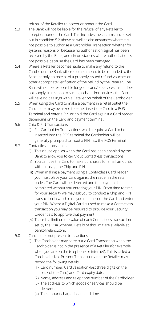refusal of the Retailer to accept or honour the Card.

- 5.3 The Bank will not be liable for the refusal of any Retailer to accept or honour the Card. This includes the circumstances set out in condition 5.2 above as well as circumstances where it is not possible to authorise a Cardholder Transaction whether for systems reasons or because no authorisation signal has been received by the Bank, and circumstances where authorisation is not possible because the Card has been damaged.
- 5.4 Where a Retailer becomes liable to make any refund to the Cardholder the Bank will credit the amount to be refunded to the Account only on receipt of a properly issued refund voucher or other appropriate verification of the refund by the Retailer. The Bank will not be responsible for goods and/or services that it does not supply; in relation to such goods and/or services, the Bank will have no dealings with a Retailer on behalf of the Cardholder.
- 5.5 When using the Card to make a payment in a retail outlet the Cardholder may be asked to either insert the Card in a POS Terminal and enter a PIN or hold the Card against a Card reader depending on the Card and payment terminal.
- 5.6 Chip & PIN Transactions
	- (i) For Cardholder Transactions which require a Card to be inserted into the POS terminal the Cardholder will be generally prompted to input a PIN into the POS terminal.
- 5.7 Contactless transactions
	- (i) This clause applies when the Card has been enabled by the Bank to allow you to carry out Contactless transactions.
	- (ii) You can use the Card to make purchases for small amounts without using the Chip and PIN.
	- (iii) When making a payment using a Contactless Card reader you must place your Card against the reader in the retail outlet. The Card will be detected and the payment is completed without you entering your PIN. From time to time, for your security we may ask you to conduct a Chip and PIN transaction in which case you must insert the Card and enter your PIN. Where a Digital Card is used to make a Contactless transaction you may be required to provide your Security Credentials to approve that payment.
	- (iv) There is a limit on the value of each Contactless transaction set by the Visa Scheme. Details of this limit are available at bankofireland.com.
- 5.8 Cardholder not present transactions
	- (i) The Cardholder may carry out a Card Transaction when the Cardholder is not in the presence of a Retailer (for example when you are on the telephone or internet). This is called a Cardholder Not Present Transaction and the Retailer may record the following details:
		- (1) Card number, Card validation (last three digits on the back of the Card) and Card expiry date.
		- (2) Name, address and telephone number of the Cardholder
		- (3) The address to which goods or services should be delivered.
		- (4) The amount charged, date and time.
			- **8**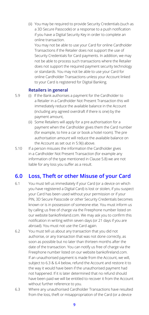(ii) You may be required to provide Security Credentials (such as a 3D Secure Passcode) or a response to a push notification if you have a Digital Security Key in order to complete an online transaction.

You may not be able to use your Card for online Cardholder Transactions if the Retailer does not support the use of Security Credentials for Card payments. In addition, we may not be able to process such transactions where the Retailer does not support the required payment security technology or standards. You may not be able to use your Card for online Cardholder Transactions unless your Account linked to your Card is registered for Digital Banking.

#### **Retailers in general**

- 5.9 (i) If the Bank authorises a payment for the Cardholder to a Retailer in a Cardholder Not Present Transaction this will immediately reduce the available balance in the Account (including any agreed overdraft if there is one) by the payment amount,
	- (ii) Some Retailers will apply for a pre authorisation for a payment when the Cardholder gives them the Card number (for example, to hire a car or book a hotel room). The pre authorisation amount will reduce the available balance on the Account as set out in 5.9(i) above.
- 5.10 If a person misuses the information the Cardholder gives in a Cardholder Not Present Transaction (for example any information of the type mentioned in Clause 5.8) we are not liable for any loss you suffer as a result.

#### **6.0 Loss, Theft or other Misuse of your Card**

- 6.1 You must tell us immediately if your Card (or a device on which you have registered a Digital Card) is lost or stolen, if you suspect your Card has been used without your permission or if your PIN, 3D Secure Passcode or other Security Credentials becomes known or is in possession of someone else. You must inform us by calling us free of charge via the Freephone number listed on our website bankofireland.com. We may ask you to confirm this notification in writing within seven days (or 21 days if you are abroad). You must not use the Card again.
- 6.2 You must tell us about any transaction that you did not authorise, or any transaction that was not done correctly, as soon as possible but no later than thirteen months after the date of the transaction. You can notify us free of charge via the Freephone number listed on our website bankofireland.com. If an unauthorised payment is made from the Account, we will, subject to 6.3 & 6.4 below, refund the Account and restore it to the way it would have been if the unauthorised payment had not happened. If it is later determined that no refund should have been paid we will be entitled to recover it from the Account without further reference to you.
- 6.3 Where any unauthorised Cardholder Transactions have resulted from the loss, theft or misappropriation of the Card (or a device

**9**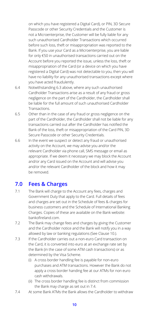on which you have registered a Digital Card), or PIN, 3D Secure Passcode or other Security Credentials and the Customer is not a Microenterprise, the Customer will be fully liable for any such unauthorised Cardholder Transactions which occurred before such loss, theft or misappropriation was reported to the Bank. If you use your Card as a Microenterprise, you are liable for only €50 in unauthorised transactions carried out on the Account before you reported the issue, unless the loss, theft or misappropriation of the Card (or a device on which you have registered a Digital Card) was not detectable to you, then you will have no liability for any unauthorised transactions except where you have acted fraudulently.

- 6.4 Notwithstanding 6.3 above, where any such unauthorised Cardholder Transactions arise as a result of any fraud or gross negligence on the part of the Cardholder, the Cardholder shall be liable for the full amount of such unauthorised Cardholder Transactions.
- 6.5 Other than in the case of any fraud or gross negligence on the part of the Cardholder, the Cardholder shall not be liable for any transactions carried out after the Cardholder has notified the Bank of the loss, theft or misappropriation of the Card PIN, 3D Secure Passcode or other Security Credentials.
- 6.6 In the event we suspect or detect any fraud or unauthorised activity on the Account, we may advise you and/or the relevant Cardholder via phone call, SMS message or email as appropriate. If we deem it necessary we may block the Account and/or any Card issued on the Account and will advise you and/or the relevant Cardholder of the block and how it may be removed.

#### **7.0 Fees & Charges**

- 7.1 The Bank will charge to the Account any fees, charges and Government Duty that apply to the Card. Full details of fees and charges are set out in the Schedule of fees & charges for business customers and the Schedule of International Banking Charges. Copies of these are available on the Bank website: bankofireland.com.
- 7.2 The Bank may change fees and charges by giving the Customer and the Cardholder notice and the Bank will notify you in a way allowed by law or banking regulations (See Clause 10.).
- 7.3 If the Cardholder carries out a non-euro Card transaction on the Card, it is converted into euro at an exchange rate set by the Bank (in the case of some ATM cash transactions) or as determined by the Visa Scheme.
	- (i) A cross border handling fee is payable for non-euro purchases and ATM transactions. However the Bank do not apply a cross border handing fee at our ATMs for non euro cash withdrawals.
	- (ii) The cross border handling fee is distinct from commission the Bank may charge as set out in 7.4.
- 7.4 At some Bank ATMs the Bank allows the Cardholder to withdraw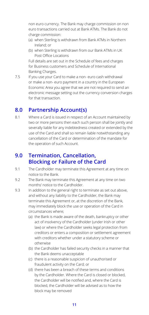non euro currency. The Bank may charge commission on non euro transactions carried out at Bank ATMs. The Bank do not charge commission:

- (a) when Sterling is withdrawn from Bank ATMs in Northern Ireland; or
- (b) when Sterling is withdrawn from our Bank ATMs in UK Post Office Locations

Full details are set out in the Schedule of fees and charges for Business customers and Schedule of International Banking Charges.

7.5 If you use your Card to make a non- euro cash withdrawal or make a non- euro payment in a country in the European Economic Area you agree that we are not required to send an electronic message setting out the currency conversion charges for that transaction.

#### **8.0 Partnership Account(s)**

8.1 Where a Card is issued in respect of an Account maintained by two or more persons then each such person shall be jointly and severally liable for any indebtedness created or extended by the use of the Card and shall so remain liable notwithstanding any cancellation of the Card or determination of the mandate for the operation of such Account.

#### **9.0 Termination, Cancellation, Blocking or Failure of the Card**

- 9.1 The Cardholder may terminate this Agreement at any time on notice to the Bank.
- 9.2 The Bank may terminate this Agreement at any time on two months' notice to the Cardholder.
- 9.3 In addition to the general right to terminate as set out above, and without any liability to the Cardholder, the Bank may terminate this Agreement or, at the discretion of the Bank, may immediately block the use or operation of the Card in circumstances where;
	- (a) the Bank is made aware of the death, bankruptcy or other act of insolvency of the Cardholder (under Irish or other law) or where the Cardholder seeks legal protection from creditors or enters a composition or settlement agreement with creditors whether under a statutory scheme or otherwise
	- (b) the Cardholder has failed security checks in a manner that the Bank deems unacceptable
	- (c) there is a reasonable suspicion of unauthorised or fraudulent activity on the Card; or
	- (d) there has been a breach of these terms and conditions by the Cardholder. Where the Card is closed or blocked, the Cardholder will be notified and, where the Card is blocked, the Cardholder will be advised as to how the block may be removed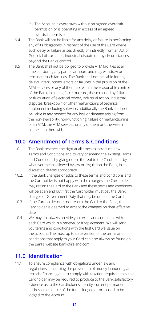- (e) The Account is overdrawn without an agreed overdraft permission or is operating in excess of an agreed overdraft permission
- 9.4 The Bank will not be liable for any delay or failure in performing any of its obligations in respect of the use of the Card where such delay or failure arises directly or indirectly from an Act of God, civil disturbance, industrial dispute or any circumstances beyond the Bank's control.
- 9.5 The Bank shall not be obliged to provide ATM facilities at all times or during any particular hours and may withdraw or terminate such facilities. The Bank shall not be liable for any delays, interruptions, errors or failures in the provision of the ATM services or any of them not within the reasonable control of the Bank, including force majeure, those caused by failure or fluctuation of electrical power, industrial action, industrial disputes, breakdown or other malfunctions of technical equipment including software; additionally the Bank shall not be liable in any respect for any loss or damage arising from the non-availability, non-functioning, failure or malfunctioning of an ATM, the ATM services or any of them or otherwise in connection therewith.

#### **10.0 Amendment of Terms & Conditions**

- 10.1 The Bank reserves the right at all times to introduce new Terms and Conditions and to vary or amend the existing Terms and Conditions by giving notice thereof to the Cardholder by whatever means allowed by law or regulation the Bank, in its discretion deems appropriate.
- 10.2. If the Bank changes or adds to these terms and conditions and the Cardholder is not happy with the changes, the Cardholder may return the Card to the Bank and these terms and conditions will be at an end but first the Cardholder must pay the Bank charges or Government Duty that may be due on the Card.
- 10.3. If the Cardholder does not return the Card to the Bank, the Cardholder is deemed to accept the changes on their effective date.
- 10.4 We may not always provide you terms and conditions with each Card which is a renewal or a replacement. We will send you terms and conditions with the first Card we issue on the account. The most up to date version of the terms and conditions that apply to your Card can also always be found on the Banks website bankofireland.com.

#### **11.0 Identification**

11.1 To ensure compliance with obligations under law and regulations concerning the prevention of money laundering and terrorist financing and to comply with taxation requirements, the Cardholder may be required to produce to the Bank satisfactory evidence as to the Cardholder's identity, current permanent address, the source of the funds lodged or proposed to be lodged to the Account.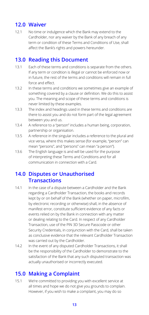### **12.0 Waiver**

12.1 No time or indulgence which the Bank may extend to the Cardholder, nor any waiver by the Bank of any breach of any term or condition of these Terms and Conditions of Use, shall affect the Bank's rights and powers hereunder.

#### **13.0 Reading this Document**

- 13.1 Each of these terms and conditions is separate from the others. If any term or condition is illegal or cannot be enforced now or in future, the rest of the terms and conditions will remain in full force and effect.
- 13.2 In these terms and conditions we sometimes give an example of something covered by a clause or definition. We do this to assist you. The meaning and scope of these terms and conditions is never limited by these examples.
- 13.3 The index and headings used in these terms and conditions are there to assist you and do not form part of the legal agreement between you and us.
- 13.4 A reference to a "person" includes a human being, corporation, partnership or organisation.
- 13.5 A reference in the singular includes a reference to the plural and vice versa, where this makes sense (for example, "person" can mean "persons", and "persons" can mean "a person").
- 13.6 The English language is and will be used for the purpose of interpreting these Terms and Conditions and for all communication in connection with a Card.

#### **14.0 Disputes or Unauthorised Transactions**

- 14.1 In the case of a dispute between a Cardholder and the Bank regarding a Cardholder Transaction, the books and records kept by or on behalf of the Bank (whether on paper, microfilm, by electronic recording or otherwise) shall, in the absence of manifest error, constitute sufficient evidence of any facts or events relied on by the Bank in connection with any matter or dealing relating to the Card. In respect of any Cardholder Transaction, use of the PIN 3D Secure Passcode or other Security Credentials, in conjunction with the Card, shall be taken as conclusive evidence that the relevant Cardholder Transaction was carried out by the Cardholder.
- 14.2 In the event of any disputed Cardholder Transactions, it shall be the responsibility of the Cardholder to demonstrate to the satisfaction of the Bank that any such disputed transaction was actually unauthorised or incorrectly executed.

### **15.0 Making a Complaint**

15.1 We're committed to providing you with excellent service at all times and hope we do not give you grounds to complain. However, if you wish to make a complaint, you may do so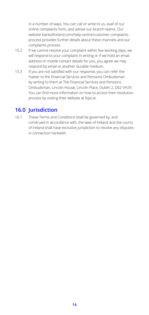in a number of ways. You can call or write to us, avail of our online complaints form, and advise our branch teams. Our website bankofireland.com/help-centre/customer-complaintsprocess provides further details about these channels and our complaints process.

- 15.2 If we cannot resolve your complaint within five working days, we will respond to your complaint in writing or if we hold an email address or mobile contact details for you, you agree we may respond by email or another durable medium.
- 15.3 If you are not satisfied with our response, you can refer the matter to the Financial Services and Pensions Ombudsman by writing to them at The Financial Services and Pensions Ombudsman, Lincoln House, Lincoln Place, Dublin 2, D02 VH29. You can find more information on how to access their resolution process by visiting their website at fspo.ie.

#### **16.0 Jurisdiction**

16.1 These Terms and Conditions shall be governed by, and construed in accordance with, the laws of Ireland and the courts of Ireland shall have exclusive jurisdiction to resolve any disputes in connection herewith.